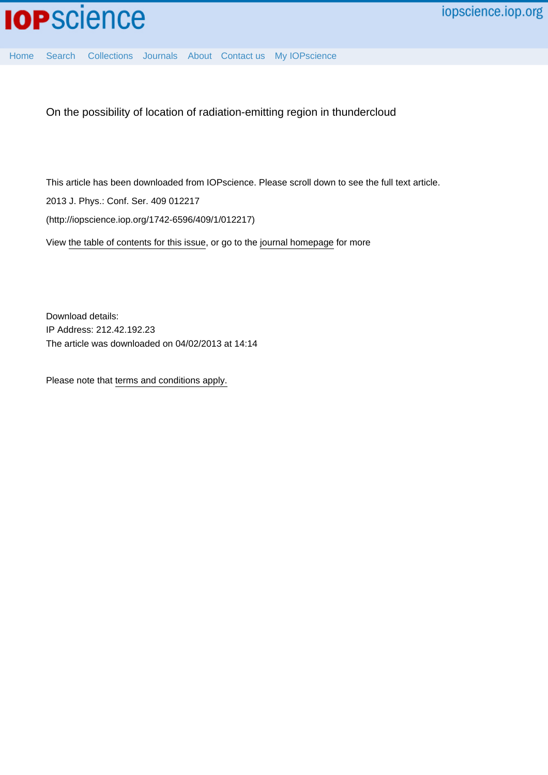

[Home](http://iopscience.iop.org/) [Search](http://iopscience.iop.org/search) [Collections](http://iopscience.iop.org/collections) [Journals](http://iopscience.iop.org/journals) [About](http://iopscience.iop.org/page/aboutioppublishing) [Contact us](http://iopscience.iop.org/contact) [My IOPscience](http://iopscience.iop.org/myiopscience)

On the possibility of location of radiation-emitting region in thundercloud

This article has been downloaded from IOPscience. Please scroll down to see the full text article. 2013 J. Phys.: Conf. Ser. 409 012217 (http://iopscience.iop.org/1742-6596/409/1/012217) View [the table of contents for this issue](http://iopscience.iop.org/1742-6596/409/1), or go to the [journal homepage](http://iopscience.iop.org/1742-6596) for more

Download details: IP Address: 212.42.192.23 The article was downloaded on 04/02/2013 at 14:14

Please note that [terms and conditions apply.](http://iopscience.iop.org/page/terms)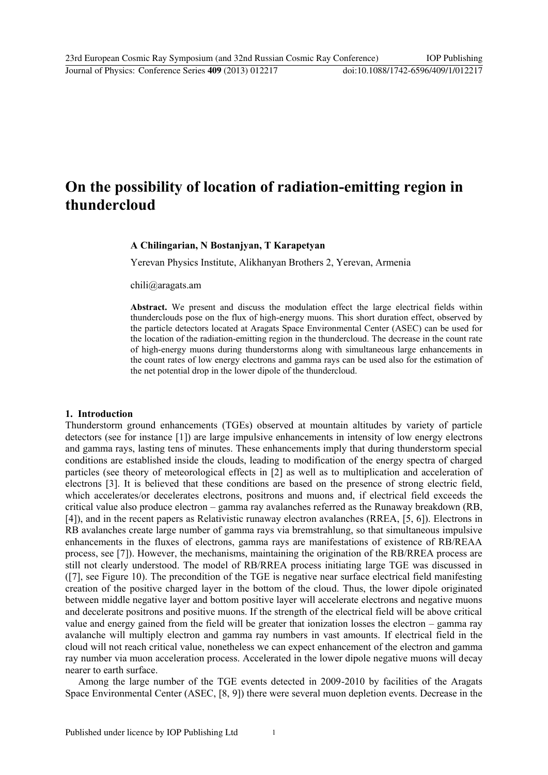# **On the possibility of location of radiation-emitting region in thundercloud**

## **A Chilingarian, N Bostanjyan, T Karapetyan**

Yerevan Physics Institute, Alikhanyan Brothers 2, Yerevan, Armenia

chili@aragats.am

**Abstract.** We present and discuss the modulation effect the large electrical fields within thunderclouds pose on the flux of high-energy muons. This short duration effect, observed by the particle detectors located at Aragats Space Environmental Center (ASEC) can be used for the location of the radiation-emitting region in the thundercloud. The decrease in the count rate of high-energy muons during thunderstorms along with simultaneous large enhancements in the count rates of low energy electrons and gamma rays can be used also for the estimation of the net potential drop in the lower dipole of the thundercloud.

#### **1. Introduction**

Thunderstorm ground enhancements (TGEs) observed at mountain altitudes by variety of particle detectors (see for instance [1]) are large impulsive enhancements in intensity of low energy electrons and gamma rays, lasting tens of minutes. These enhancements imply that during thunderstorm special conditions are established inside the clouds, leading to modification of the energy spectra of charged particles (see theory of meteorological effects in [2] as well as to multiplication and acceleration of electrons [3]. It is believed that these conditions are based on the presence of strong electric field, which accelerates/or decelerates electrons, positrons and muons and, if electrical field exceeds the critical value also produce electron – gamma ray avalanches referred as the Runaway breakdown (RB, [4]), and in the recent papers as Relativistic runaway electron avalanches (RREA, [5, 6]). Electrons in RB avalanches create large number of gamma rays via bremstrahlung, so that simultaneous impulsive enhancements in the fluxes of electrons, gamma rays are manifestations of existence of RB/REAA process, see [7]). However, the mechanisms, maintaining the origination of the RB/RREA process are still not clearly understood. The model of RB/RREA process initiating large TGE was discussed in ([7], see Figure 10). The precondition of the TGE is negative near surface electrical field manifesting creation of the positive charged layer in the bottom of the cloud. Thus, the lower dipole originated between middle negative layer and bottom positive layer will accelerate electrons and negative muons and decelerate positrons and positive muons. If the strength of the electrical field will be above critical value and energy gained from the field will be greater that ionization losses the electron – gamma ray avalanche will multiply electron and gamma ray numbers in vast amounts. If electrical field in the cloud will not reach critical value, nonetheless we can expect enhancement of the electron and gamma ray number via muon acceleration process. Accelerated in the lower dipole negative muons will decay nearer to earth surface.

Among the large number of the TGE events detected in 2009-2010 by facilities of the Aragats Space Environmental Center (ASEC, [8, 9]) there were several muon depletion events. Decrease in the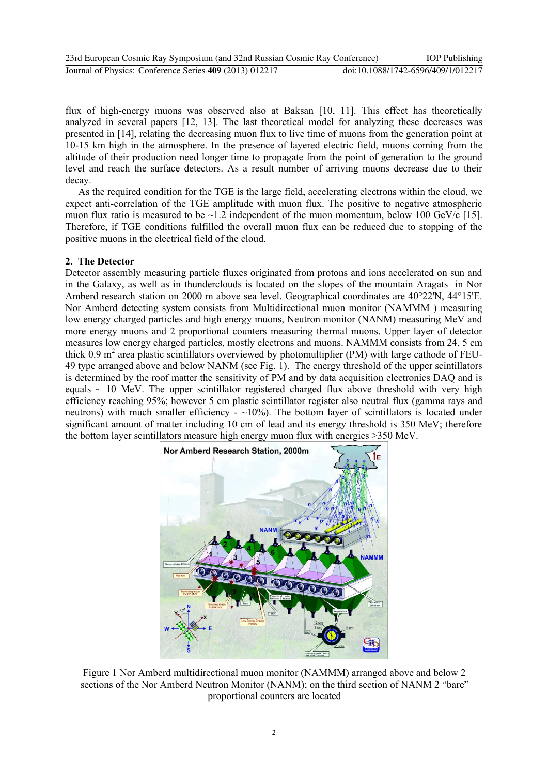| 23rd European Cosmic Ray Symposium (and 32nd Russian Cosmic Ray Conference) | <b>IOP</b> Publishing              |
|-----------------------------------------------------------------------------|------------------------------------|
| Journal of Physics: Conference Series 409 (2013) 012217                     | doi:10.1088/1742-6596/409/1/012217 |

flux of high-energy muons was observed also at Baksan [10, 11]. This effect has theoretically analyzed in several papers [12, 13]. The last theoretical model for analyzing these decreases was presented in [14], relating the decreasing muon flux to live time of muons from the generation point at 10-15 km high in the atmosphere. In the presence of layered electric field, muons coming from the altitude of their production need longer time to propagate from the point of generation to the ground level and reach the surface detectors. As a result number of arriving muons decrease due to their decay.

As the required condition for the TGE is the large field, accelerating electrons within the cloud, we expect anti-correlation of the TGE amplitude with muon flux. The positive to negative atmospheric muon flux ratio is measured to be  $\sim$  1.2 independent of the muon momentum, below 100 GeV/c [15]. Therefore, if TGE conditions fulfilled the overall muon flux can be reduced due to stopping of the positive muons in the electrical field of the cloud.

## **2. The Detector**

Detector assembly measuring particle fluxes originated from protons and ions accelerated on sun and in the Galaxy, as well as in thunderclouds is located on the slopes of the mountain Aragats in Nor Amberd research station on 2000 m above sea level. Geographical coordinates are 40°22'N, 44°15'E. Nor Amberd detecting system consists from Multidirectional muon monitor (NAMMM ) measuring low energy charged particles and high energy muons, Neutron monitor (NANM) measuring MeV and more energy muons and 2 proportional counters measuring thermal muons. Upper layer of detector measures low energy charged particles, mostly electrons and muons. NAMMM consists from 24, 5 cm thick 0.9  $m^2$  area plastic scintillators overviewed by photomultiplier (PM) with large cathode of FEU-49 type arranged above and below NANM (see Fig. 1). The energy threshold of the upper scintillators is determined by the roof matter the sensitivity of PM and by data acquisition electronics DAQ and is equals  $\sim$  10 MeV. The upper scintillator registered charged flux above threshold with very high efficiency reaching 95%; however 5 cm plastic scintillator register also neutral flux (gamma rays and neutrons) with much smaller efficiency  $\sim$  10%). The bottom layer of scintillators is located under significant amount of matter including 10 cm of lead and its energy threshold is 350 MeV; therefore the bottom layer scintillators measure high energy muon flux with energies >350 MeV.



Figure 1 Nor Amberd multidirectional muon monitor (NAMMM) arranged above and below 2 sections of the Nor Amberd Neutron Monitor (NANM); on the third section of NANM 2 "bare" proportional counters are located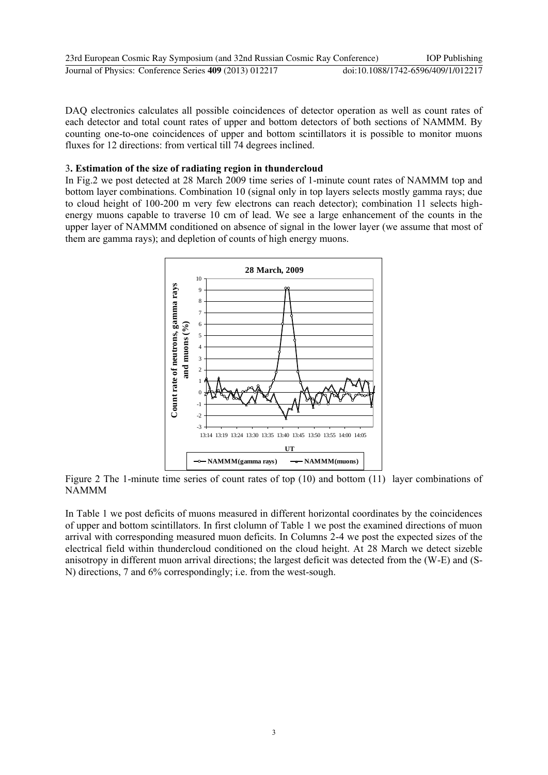| 23rd European Cosmic Ray Symposium (and 32nd Russian Cosmic Ray Conference) | <b>IOP</b> Publishing              |
|-----------------------------------------------------------------------------|------------------------------------|
| Journal of Physics: Conference Series 409 (2013) 012217                     | doi:10.1088/1742-6596/409/1/012217 |

DAQ electronics calculates all possible coincidences of detector operation as well as count rates of each detector and total count rates of upper and bottom detectors of both sections of NAMMM. By counting one-to-one coincidences of upper and bottom scintillators it is possible to monitor muons fluxes for 12 directions: from vertical till 74 degrees inclined.

## 3**. Estimation of the size of radiating region in thundercloud**

In Fig.2 we post detected at 28 March 2009 time series of 1-minute count rates of NAMMM top and bottom layer combinations. Combination 10 (signal only in top layers selects mostly gamma rays; due to cloud height of 100-200 m very few electrons can reach detector); combination 11 selects highenergy muons capable to traverse 10 cm of lead. We see a large enhancement of the counts in the upper layer of NAMMM conditioned on absence of signal in the lower layer (we assume that most of them are gamma rays); and depletion of counts of high energy muons.



Figure 2 The 1-minute time series of count rates of top (10) and bottom (11) layer combinations of NAMMM

In Table 1 we post deficits of muons measured in different horizontal coordinates by the coincidences of upper and bottom scintillators. In first clolumn of Table 1 we post the examined directions of muon arrival with corresponding measured muon deficits. In Columns 2-4 we post the expected sizes of the electrical field within thundercloud conditioned on the cloud height. At 28 March we detect sizeble anisotropy in different muon arrival directions; the largest deficit was detected from the (W-E) and (S-N) directions, 7 and 6% correspondingly; i.e. from the west-sough.